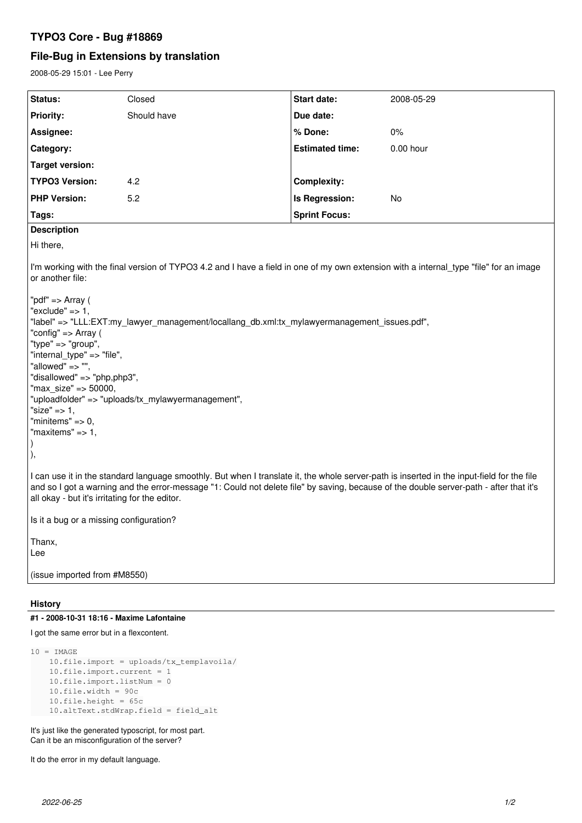## **TYPO3 Core - Bug #18869**

# **File-Bug in Extensions by translation**

2008-05-29 15:01 - Lee Perry

| <b>Status:</b>                                                                                                                                                                                                                                                                                                                                                                                                                                                                                                                                                                                           | Closed      | Start date:            | 2008-05-29  |
|----------------------------------------------------------------------------------------------------------------------------------------------------------------------------------------------------------------------------------------------------------------------------------------------------------------------------------------------------------------------------------------------------------------------------------------------------------------------------------------------------------------------------------------------------------------------------------------------------------|-------------|------------------------|-------------|
| <b>Priority:</b>                                                                                                                                                                                                                                                                                                                                                                                                                                                                                                                                                                                         | Should have | Due date:              |             |
| Assignee:                                                                                                                                                                                                                                                                                                                                                                                                                                                                                                                                                                                                |             | % Done:                | 0%          |
| Category:                                                                                                                                                                                                                                                                                                                                                                                                                                                                                                                                                                                                |             | <b>Estimated time:</b> | $0.00$ hour |
| Target version:                                                                                                                                                                                                                                                                                                                                                                                                                                                                                                                                                                                          |             |                        |             |
| <b>TYPO3 Version:</b>                                                                                                                                                                                                                                                                                                                                                                                                                                                                                                                                                                                    | 4.2         | <b>Complexity:</b>     |             |
| <b>PHP Version:</b>                                                                                                                                                                                                                                                                                                                                                                                                                                                                                                                                                                                      | 5.2         | Is Regression:         | <b>No</b>   |
| Tags:                                                                                                                                                                                                                                                                                                                                                                                                                                                                                                                                                                                                    |             | <b>Sprint Focus:</b>   |             |
| <b>Description</b>                                                                                                                                                                                                                                                                                                                                                                                                                                                                                                                                                                                       |             |                        |             |
| Hi there,                                                                                                                                                                                                                                                                                                                                                                                                                                                                                                                                                                                                |             |                        |             |
| I'm working with the final version of TYPO3 4.2 and I have a field in one of my own extension with a internal_type "file" for an image<br>or another file:<br>"pdf" => Array (<br>"exclude" = $> 1$ ,<br>"label" => "LLL:EXT:my_lawyer_management/locallang_db.xml:tx_mylawyermanagement_issues.pdf",<br>"config" => Array (<br>"type" => "group",<br>"internal_type" => "file",<br>"allowed" => "",<br>"disallowed" => "php,php3",<br>"max size" => 50000,<br>"uploadfolder" => "uploads/tx_mylawyermanagement",<br>"size" $\Rightarrow$ 1,<br>"minitems" $\Rightarrow$ 0,<br>"maxitems" $=> 1$ ,<br>), |             |                        |             |
| I can use it in the standard language smoothly. But when I translate it, the whole server-path is inserted in the input-field for the file<br>and so I got a warning and the error-message "1: Could not delete file" by saving, because of the double server-path - after that it's<br>all okay - but it's irritating for the editor.                                                                                                                                                                                                                                                                   |             |                        |             |
| Is it a bug or a missing configuration?                                                                                                                                                                                                                                                                                                                                                                                                                                                                                                                                                                  |             |                        |             |
| Thanx,<br>Lee                                                                                                                                                                                                                                                                                                                                                                                                                                                                                                                                                                                            |             |                        |             |
| (issue imported from #M8550)                                                                                                                                                                                                                                                                                                                                                                                                                                                                                                                                                                             |             |                        |             |

### **History**

#### **#1 - 2008-10-31 18:16 - Maxime Lafontaine**

I got the same error but in a flexcontent.

```
10 = \text{IMAGE}    10.file.import = uploads/tx_templavoila/
    10.file.import.current = 1
    10.file.import.listNum = 0
10.file.width = 90c
10.file.height = 65c
10.altText.stdWrap.field = field_alt
```
It's just like the generated typoscript, for most part. Can it be an misconfiguration of the server?

It do the error in my default language.